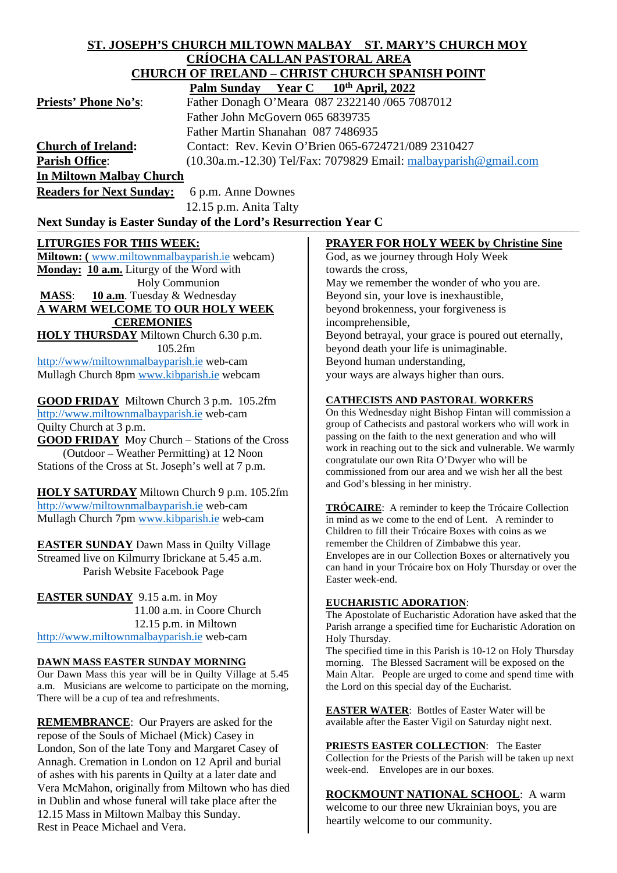## **ST. JOSEPH'S CHURCH MILTOWN MALBAY ST. MARY'S CHURCH MOY CRÍOCHA CALLAN PASTORAL AREA CHURCH OF IRELAND – CHRIST CHURCH SPANISH POINT**  $Palm$  Sunday

|                             | $1$ all builday $1$ cal $C = 10$ April, $2022$                      |
|-----------------------------|---------------------------------------------------------------------|
| <b>Priests' Phone No's:</b> | Father Donagh O'Meara 087 2322140 /065 7087012                      |
|                             | Father John McGovern 065 6839735                                    |
|                             | Father Martin Shanahan 087 7486935                                  |
| <b>Church of Ireland:</b>   | Contact: Rev. Kevin O'Brien 065-6724721/089 2310427                 |
| <b>Parish Office:</b>       | $(10.30a.m.-12.30)$ Tel/Fax: 7079829 Email: malbayparish @gmail.com |
| In Miltown Malbay Church    |                                                                     |

**Readers for Next Sunday:** 6 p.m. Anne Downes 12.15 p.m. Anita Talty

# Next Sunday is Easter Sunday of the Lord's Resurrection Year C

# **LITURGIES FOR THIS WEEK:**

**Miltown: (** [www.miltownmalbayparish.ie](http://www.miltownmalbayparish.ie/) webcam) **Monday: 10 a.m.** Liturgy of the Word with Holy Communion **MASS**: **10 a.m**. Tuesday & Wednesday **A WARM WELCOME TO OUR HOLY WEEK CEREMONIES HOLY THURSDAY** Miltown Church 6.30 p.m.

105.2fm

<http://www/miltownmalbayparish.ie> web-cam Mullagh Church 8pm [www.kibparish.ie](http://www.kibparish.ie/) webcam

**GOOD FRIDAY** Miltown Church 3 p.m. 105.2fm [http://www.miltownmalbayparish.ie](http://www.miltownmalbayparish.ie/) web-cam Quilty Church at 3 p.m.

**GOOD FRIDAY** Moy Church – Stations of the Cross (Outdoor – Weather Permitting) at 12 Noon Stations of the Cross at St. Joseph's well at 7 p.m.

**HOLY SATURDAY** Miltown Church 9 p.m. 105.2fm <http://www/miltownmalbayparish.ie> web-cam Mullagh Church 7pm [www.kibparish.ie](http://www.kibparish.ie/) web-cam

**EASTER SUNDAY** Dawn Mass in Quilty Village Streamed live on Kilmurry Ibrickane at 5.45 a.m. Parish Website Facebook Page

**EASTER SUNDAY** 9.15 a.m. in Moy 11.00 a.m. in Coore Church 12.15 p.m. in Miltown [http://www.miltownmalbayparish.ie](http://www.miltownmalbayparish.ie/) web-cam

### **DAWN MASS EASTER SUNDAY MORNING**

Our Dawn Mass this year will be in Quilty Village at 5.45 a.m. Musicians are welcome to participate on the morning, There will be a cup of tea and refreshments.

**REMEMBRANCE**: Our Prayers are asked for the repose of the Souls of Michael (Mick) Casey in London, Son of the late Tony and Margaret Casey of Annagh. Cremation in London on 12 April and burial of ashes with his parents in Quilty at a later date and Vera McMahon, originally from Miltown who has died in Dublin and whose funeral will take place after the 12.15 Mass in Miltown Malbay this Sunday. Rest in Peace Michael and Vera.

# **PRAYER FOR HOLY WEEK by Christine Sine**

God, as we journey through Holy Week towards the cross, May we remember the wonder of who you are. Beyond sin, your love is inexhaustible, beyond brokenness, your forgiveness is incomprehensible, Beyond betrayal, your grace is poured out eternally, beyond death your life is unimaginable. Beyond human understanding, your ways are always higher than ours.

### **CATHECISTS AND PASTORAL WORKERS**

On this Wednesday night Bishop Fintan will commission a group of Cathecists and pastoral workers who will work in passing on the faith to the next generation and who will work in reaching out to the sick and vulnerable. We warmly congratulate our own Rita O'Dwyer who will be commissioned from our area and we wish her all the best and God's blessing in her ministry.

**TRÓCAIRE**: A reminder to keep the Trócaire Collection in mind as we come to the end of Lent. A reminder to Children to fill their Trócaire Boxes with coins as we remember the Children of Zimbabwe this year. Envelopes are in our Collection Boxes or alternatively you can hand in your Trócaire box on Holy Thursday or over the Easter week-end.

### **EUCHARISTIC ADORATION**:

The Apostolate of Eucharistic Adoration have asked that the Parish arrange a specified time for Eucharistic Adoration on Holy Thursday.

The specified time in this Parish is 10-12 on Holy Thursday morning. The Blessed Sacrament will be exposed on the Main Altar. People are urged to come and spend time with the Lord on this special day of the Eucharist.

**EASTER WATER**: Bottles of Easter Water will be available after the Easter Vigil on Saturday night next.

**PRIESTS EASTER COLLECTION**: The Easter Collection for the Priests of the Parish will be taken up next week-end. Envelopes are in our boxes.

## **ROCKMOUNT NATIONAL SCHOOL**: A warm

welcome to our three new Ukrainian boys, you are heartily welcome to our community.